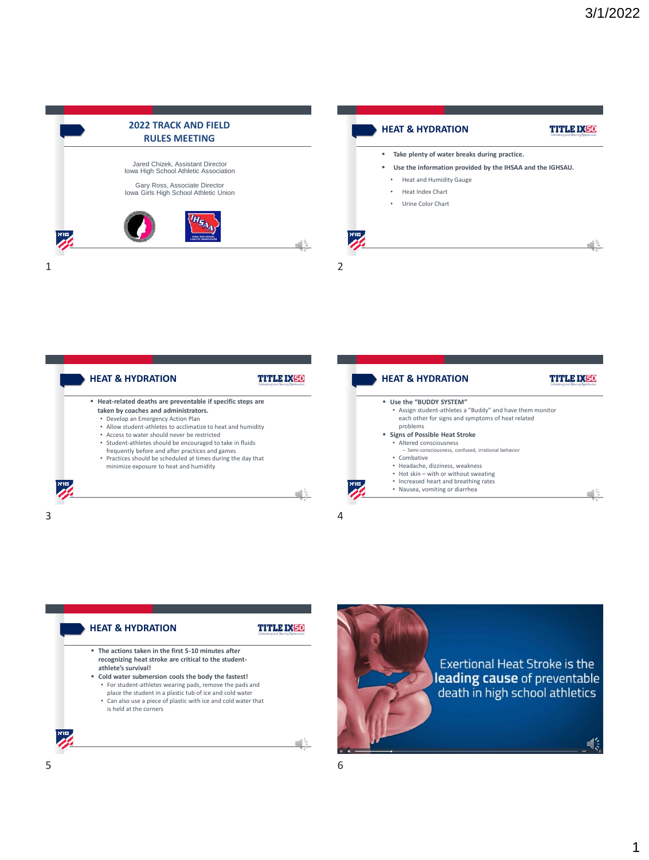| Jared Chizek, Assistant Director<br>Iowa High School Athletic Association<br>Gary Ross, Associate Director | Take plenty of water breaks during practice.<br>٠<br>Use the information provided by the IHSAA and the IGHSAU.<br>٠<br>Heat and Humidity Gauge<br>$\bullet$ |
|------------------------------------------------------------------------------------------------------------|-------------------------------------------------------------------------------------------------------------------------------------------------------------|
| Iowa Girls High School Athletic Union                                                                      | Heat Index Chart<br>٠<br>Urine Color Chart<br>$\bullet$                                                                                                     |
| n.<br>NHS<br><b>NFHS</b><br><b>JOWA HIGH SCHOOL</b><br><b>ATHLETIC ASSOCIATION</b>                         |                                                                                                                                                             |





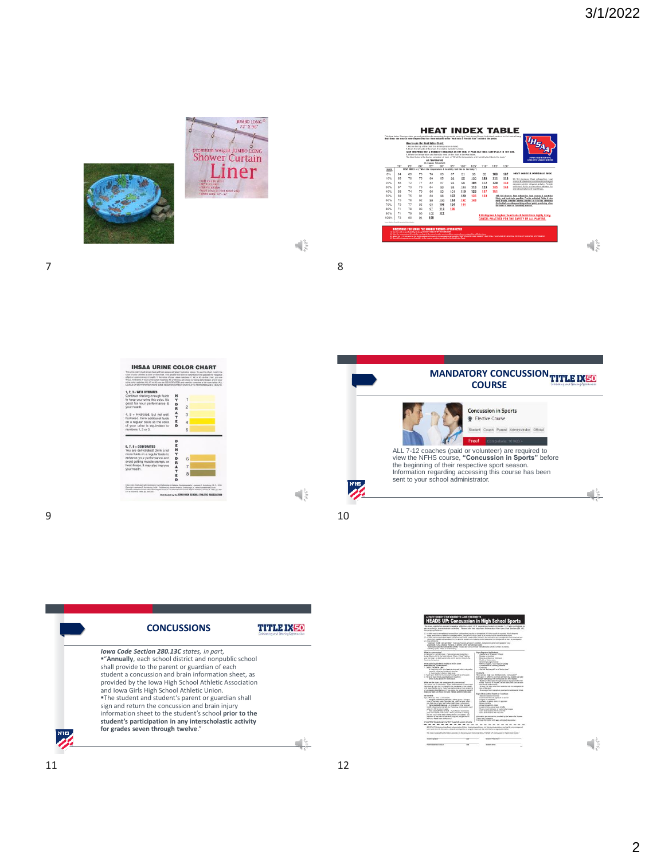



 $\sqrt{\frac{2}{3}}$ 

 $7$ 



 $\mathbb{Q}^{\mathbb{Z}}_{\mathbb{R}^n}$ 

 $\sqrt{\frac{2}{\pi}}$ 





 $\frac{1}{2}$ 

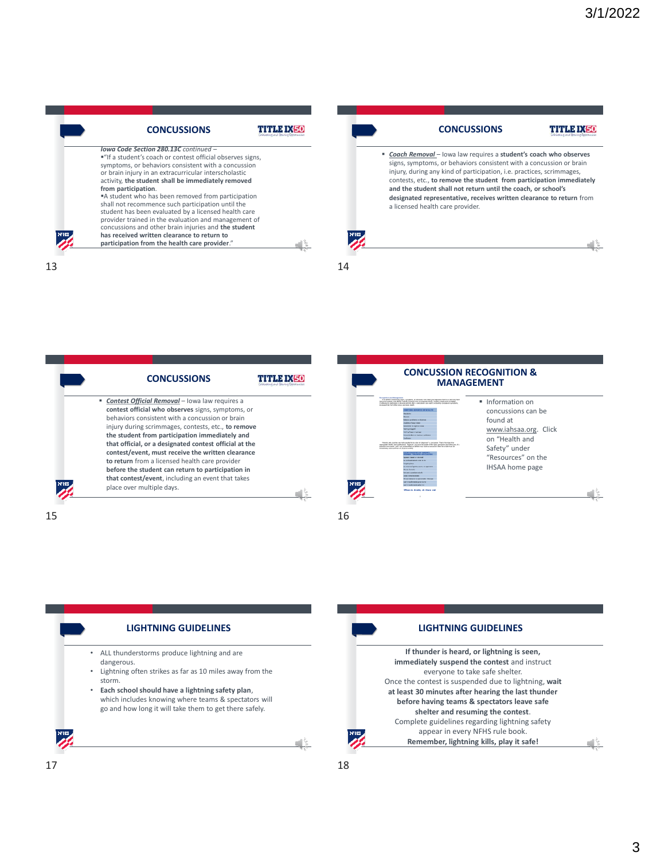| <b>CONCUSSIONS</b>                                        | elebrating and Catholina Cea |
|-----------------------------------------------------------|------------------------------|
| <b>Jowa Code Section 280.13C continued -</b>              |                              |
| "If a student's coach or contest official observes signs, |                              |
| symptoms, or behaviors consistent with a concussion       |                              |
| or brain injury in an extracurricular interscholastic     |                              |
| activity, the student shall be immediately removed        |                              |
| from participation.                                       |                              |
| "A student who has been removed from participation        |                              |
| shall not recommence such participation until the         |                              |
| student has been evaluated by a licensed health care      |                              |
| provider trained in the evaluation and management of      |                              |
| concussions and other brain injuries and the student      |                              |
| has received written clearance to return to               |                              |
| participation from the health care provider."             |                              |



**TITLE IX50 CONCUSSIONS** Contest Official Removal - Iowa law requires a **contest official who observes** signs, symptoms, or behaviors consistent with a concussion or brain injury during scrimmages, contests, etc., **to remove the student from participation immediately and that official, or a designated contest official at the contest/event, must receive the written clearance to return** from a licensed health care provider **before the student can return to participation in that contest/event**, including an event that takes place over multiple days.  $15$  and  $16$ 





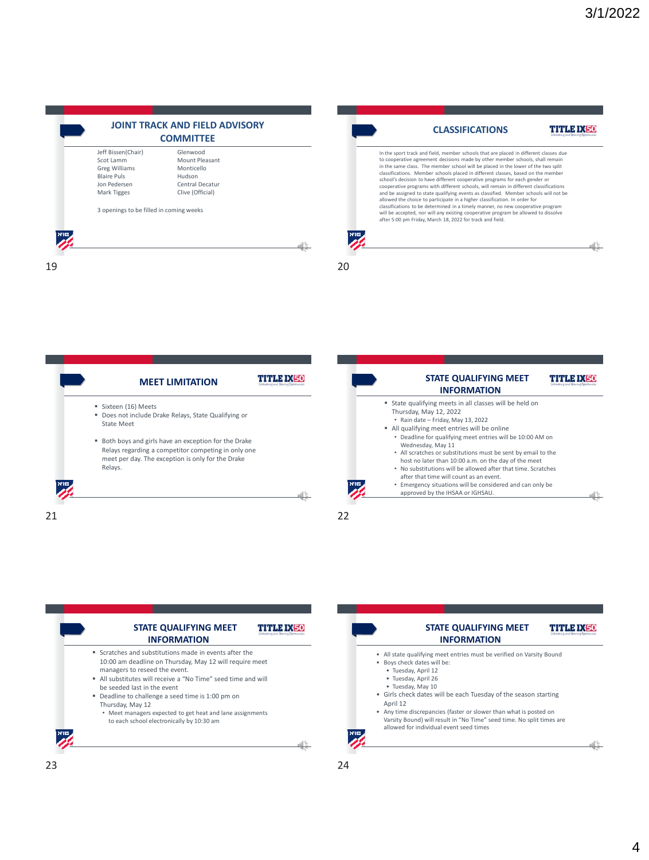$\mathbb{R}$ 

|                                                                                                                                                         | <b>COMMITTEE</b>                                                                          | <b>CLASSIFICATIONS</b>                                                                                                                                                                                                                                                                                                                                                                                                                                                                                                                                                                                                                                                                                                                                                                                                                                                                                                              |  |
|---------------------------------------------------------------------------------------------------------------------------------------------------------|-------------------------------------------------------------------------------------------|-------------------------------------------------------------------------------------------------------------------------------------------------------------------------------------------------------------------------------------------------------------------------------------------------------------------------------------------------------------------------------------------------------------------------------------------------------------------------------------------------------------------------------------------------------------------------------------------------------------------------------------------------------------------------------------------------------------------------------------------------------------------------------------------------------------------------------------------------------------------------------------------------------------------------------------|--|
| Jeff Bissen(Chair)<br>Scot Lamm<br><b>Greg Williams</b><br><b>Blaire Puls</b><br>Jon Pedersen<br>Mark Tigges<br>3 openings to be filled in coming weeks | Glenwood<br>Mount Pleasant<br>Monticello<br>Hudson<br>Central Decatur<br>Clive (Official) | In the sport track and field, member schools that are placed in different classes due<br>to cooperative agreement decisions made by other member schools, shall remain<br>in the same class. The member school will be placed in the lower of the two split<br>classifications. Member schools placed in different classes, based on the member<br>school's decision to have different cooperative programs for each gender or<br>cooperative programs with different schools, will remain in different classifications<br>and be assigned to state qualifying events as classified. Member schools will not be<br>allowed the choice to participate in a higher classification. In order for<br>classifications to be determined in a timely manner, no new cooperative program<br>will be accepted, nor will any existing cooperative program be allowed to dissolve<br>after 5:00 pm Friday, March 18, 2022 for track and field. |  |
|                                                                                                                                                         |                                                                                           | <b>NFHS</b><br>20                                                                                                                                                                                                                                                                                                                                                                                                                                                                                                                                                                                                                                                                                                                                                                                                                                                                                                                   |  |



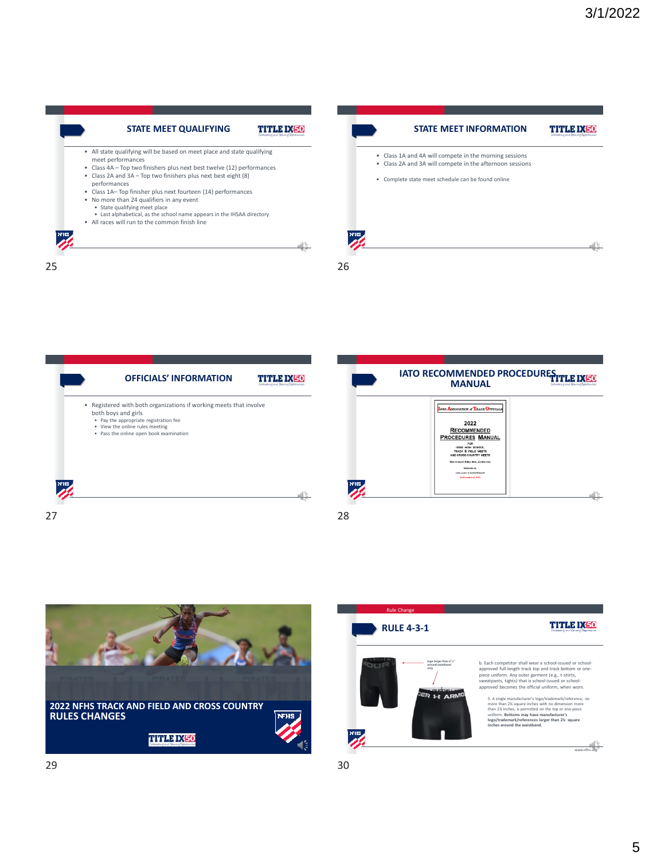









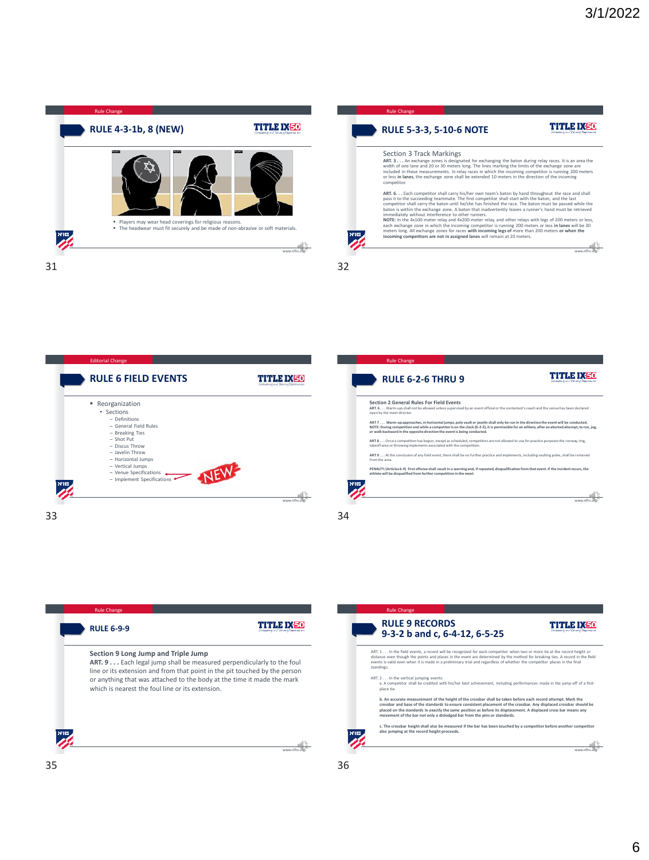









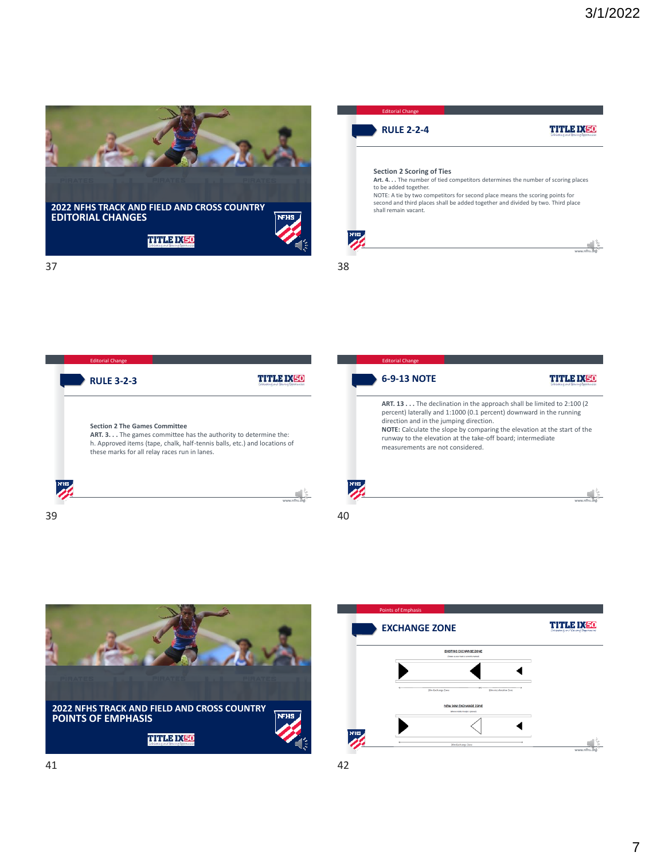